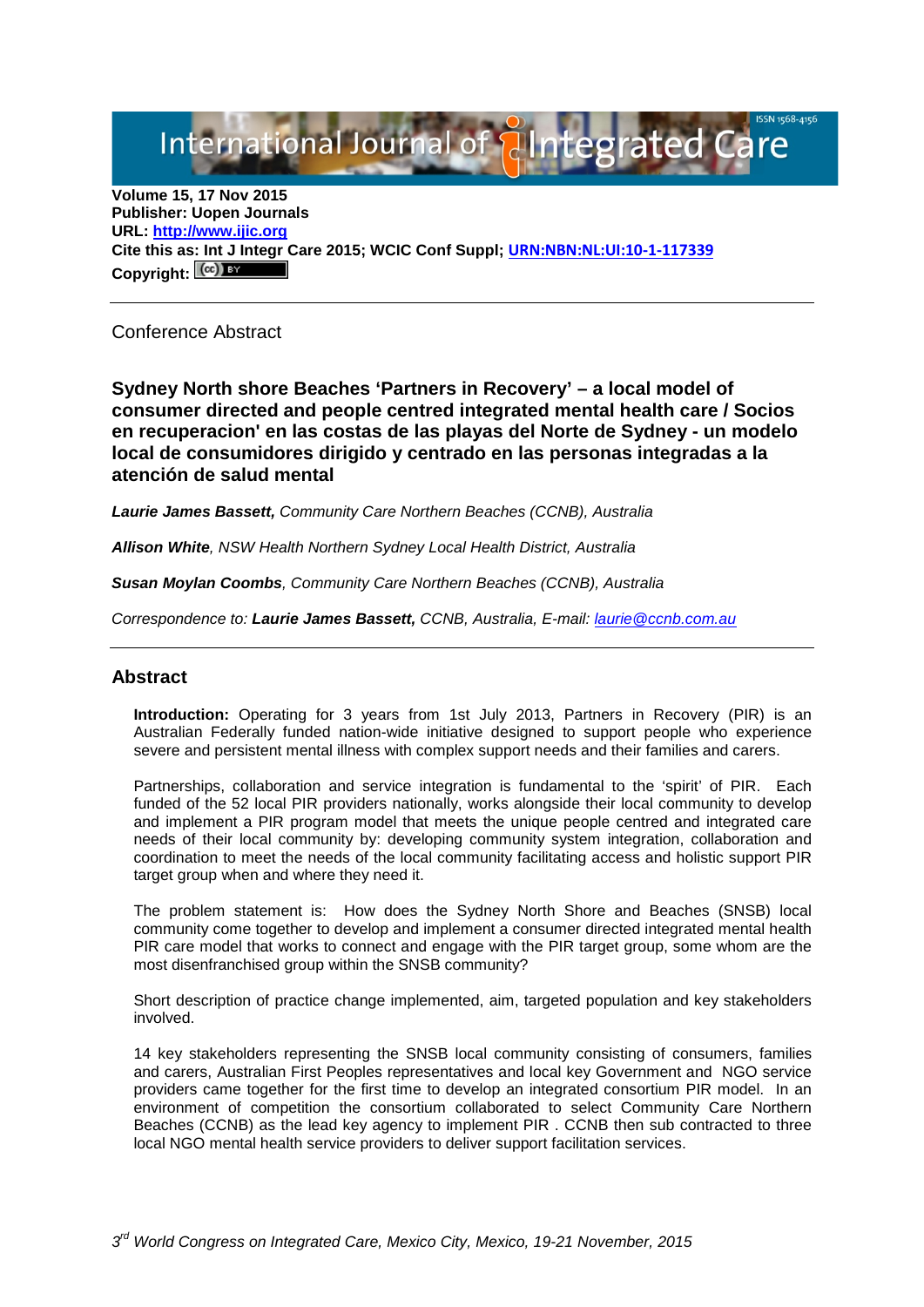International Journal of **Alntegrated Care** 

**Volume 15, 17 Nov 2015 Publisher: Uopen Journals URL: [http://www.ijic.org](http://www.ijic.org/) Cite this as: Int J Integr Care 2015; WCIC Conf Suppl; [URN:NBN:NL:UI:10-1-117339](http://persistent-identifier.nl/?identifier=URN:NBN:NL:UI:10-1-117339)** Copyright:  $(cc)$ 

Conference Abstract

**Sydney North shore Beaches 'Partners in Recovery' – a local model of consumer directed and people centred integrated mental health care / Socios en recuperacion' en las costas de las playas del Norte de Sydney - un modelo local de consumidores dirigido y centrado en las personas integradas a la atención de salud mental**

*Laurie James Bassett, Community Care Northern Beaches (CCNB), Australia*

*Allison White, NSW Health Northern Sydney Local Health District, Australia*

*Susan Moylan Coombs, Community Care Northern Beaches (CCNB), Australia*

*Correspondence to: Laurie James Bassett, CCNB, Australia, E-mail: [laurie@ccnb.com.au](mailto:laurie@ccnb.com.au)*

## **Abstract**

**Introduction:** Operating for 3 years from 1st July 2013, Partners in Recovery (PIR) is an Australian Federally funded nation-wide initiative designed to support people who experience severe and persistent mental illness with complex support needs and their families and carers.

Partnerships, collaboration and service integration is fundamental to the 'spirit' of PIR. Each funded of the 52 local PIR providers nationally, works alongside their local community to develop and implement a PIR program model that meets the unique people centred and integrated care needs of their local community by: developing community system integration, collaboration and coordination to meet the needs of the local community facilitating access and holistic support PIR target group when and where they need it.

The problem statement is: How does the Sydney North Shore and Beaches (SNSB) local community come together to develop and implement a consumer directed integrated mental health PIR care model that works to connect and engage with the PIR target group, some whom are the most disenfranchised group within the SNSB community?

Short description of practice change implemented, aim, targeted population and key stakeholders involved.

14 key stakeholders representing the SNSB local community consisting of consumers, families and carers, Australian First Peoples representatives and local key Government and NGO service providers came together for the first time to develop an integrated consortium PIR model. In an environment of competition the consortium collaborated to select Community Care Northern Beaches (CCNB) as the lead key agency to implement PIR . CCNB then sub contracted to three local NGO mental health service providers to deliver support facilitation services.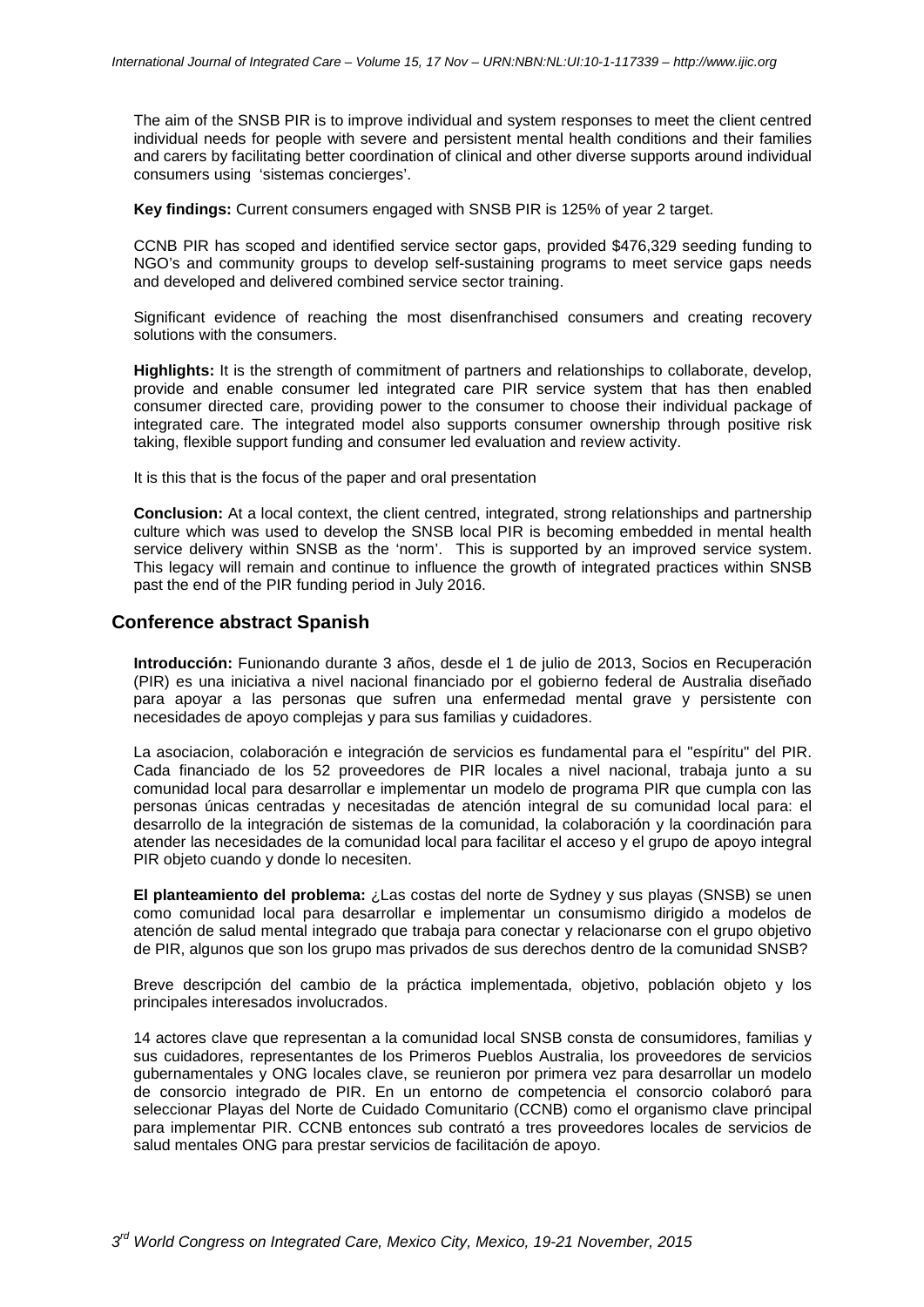The aim of the SNSB PIR is to improve individual and system responses to meet the client centred individual needs for people with severe and persistent mental health conditions and their families and carers by facilitating better coordination of clinical and other diverse supports around individual consumers using 'sistemas concierges'.

**Key findings:** Current consumers engaged with SNSB PIR is 125% of year 2 target.

CCNB PIR has scoped and identified service sector gaps, provided \$476,329 seeding funding to NGO's and community groups to develop self-sustaining programs to meet service gaps needs and developed and delivered combined service sector training.

Significant evidence of reaching the most disenfranchised consumers and creating recovery solutions with the consumers.

**Highlights:** It is the strength of commitment of partners and relationships to collaborate, develop, provide and enable consumer led integrated care PIR service system that has then enabled consumer directed care, providing power to the consumer to choose their individual package of integrated care. The integrated model also supports consumer ownership through positive risk taking, flexible support funding and consumer led evaluation and review activity.

It is this that is the focus of the paper and oral presentation

**Conclusion:** At a local context, the client centred, integrated, strong relationships and partnership culture which was used to develop the SNSB local PIR is becoming embedded in mental health service delivery within SNSB as the 'norm'. This is supported by an improved service system. This legacy will remain and continue to influence the growth of integrated practices within SNSB past the end of the PIR funding period in July 2016.

## **Conference abstract Spanish**

**Introducción:** Funionando durante 3 años, desde el 1 de julio de 2013, Socios en Recuperación (PIR) es una iniciativa a nivel nacional financiado por el gobierno federal de Australia diseñado para apoyar a las personas que sufren una enfermedad mental grave y persistente con necesidades de apoyo complejas y para sus familias y cuidadores.

La asociacion, colaboración e integración de servicios es fundamental para el "espíritu" del PIR. Cada financiado de los 52 proveedores de PIR locales a nivel nacional, trabaja junto a su comunidad local para desarrollar e implementar un modelo de programa PIR que cumpla con las personas únicas centradas y necesitadas de atención integral de su comunidad local para: el desarrollo de la integración de sistemas de la comunidad, la colaboración y la coordinación para atender las necesidades de la comunidad local para facilitar el acceso y el grupo de apoyo integral PIR objeto cuando y donde lo necesiten.

**El planteamiento del problema:** ¿Las costas del norte de Sydney y sus playas (SNSB) se unen como comunidad local para desarrollar e implementar un consumismo dirigido a modelos de atención de salud mental integrado que trabaja para conectar y relacionarse con el grupo objetivo de PIR, algunos que son los grupo mas privados de sus derechos dentro de la comunidad SNSB?

Breve descripción del cambio de la práctica implementada, objetivo, población objeto y los principales interesados involucrados.

14 actores clave que representan a la comunidad local SNSB consta de consumidores, familias y sus cuidadores, representantes de los Primeros Pueblos Australia, los proveedores de servicios gubernamentales y ONG locales clave, se reunieron por primera vez para desarrollar un modelo de consorcio integrado de PIR. En un entorno de competencia el consorcio colaboró para seleccionar Playas del Norte de Cuidado Comunitario (CCNB) como el organismo clave principal para implementar PIR. CCNB entonces sub contrató a tres proveedores locales de servicios de salud mentales ONG para prestar servicios de facilitación de apoyo.